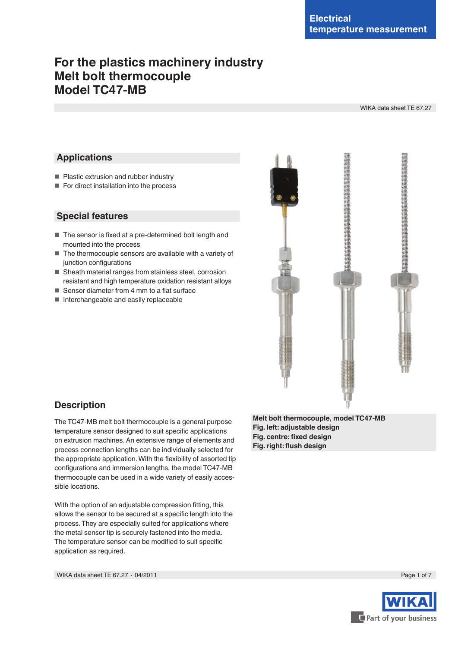# **For the plastics machinery industry Melt bolt thermocouple Model TC47-MB**

WIKA data sheet TE 67.27

# **Applications**

- Plastic extrusion and rubber industry
- For direct installation into the process

# **Special features**

- The sensor is fixed at a pre-determined bolt length and mounted into the process
- The thermocouple sensors are available with a variety of junction configurations
- Sheath material ranges from stainless steel, corrosion resistant and high temperature oxidation resistant alloys
- Sensor diameter from 4 mm to a flat surface
- Interchangeable and easily replaceable



# **Description**

The TC47-MB melt bolt thermocouple is a general purpose temperature sensor designed to suit specific applications on extrusion machines. An extensive range of elements and process connection lengths can be individually selected for the appropriate application.With the flexibility of assorted tip configurations and immersion lengths, the model TC47-MB thermocouple can be used in a wide variety of easily accessible locations.

With the option of an adjustable compression fitting, this allows the sensor to be secured at a specific length into the process.They are especially suited for applications where the metal sensor tip is securely fastened into the media. The temperature sensor can be modified to suit specific application as required.

**Melt bolt thermocouple, model TC47-MB Fig. left: adjustable design Fig. centre: fixed design Fig. right: flush design**

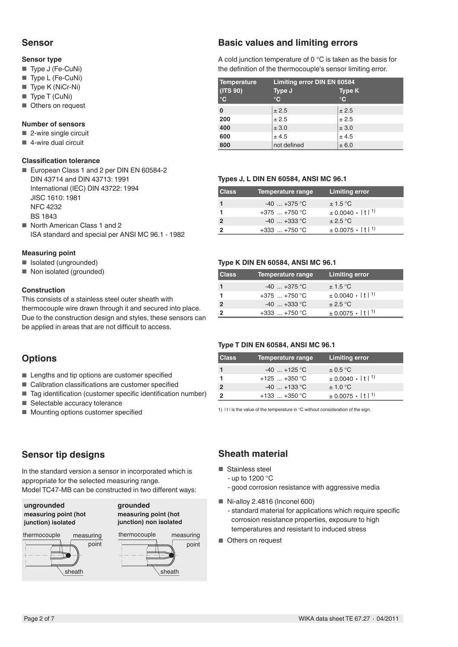# **Sensor**

### **Sensor type**

- Type J (Fe-CuNi)
- Type L (Fe-CuNi)
- Type K (NiCr-Ni)
- Type T (CuNi)
- Others on request

# **Number of sensors**

- 2-wire single circuit
- $\blacksquare$  4-wire dual circuit

#### **Classification tolerance**

- European Class 1 and 2 per DIN EN 60584-2 DIN 43714 and DIN 43713: 1991 International (IEC) DIN 43722: 1994 JISC 1610: 1981 NFC 4232 BS 1843
- North American Class 1 and 2 ISA standard and special per ANSI MC 96.1 - 1982

# **Measuring point**

- Isolated (ungrounded)
- Non isolated (grounded)

### **Construction**

This consists of a stainless steel outer sheath with thermocouple wire drawn through it and secured into place. Due to the construction design and styles, these sensors can be applied in areas that are not difficult to access.

# **Options**

- Lengths and tip options are customer specified
- Calibration classifications are customer specified
- Tag identification (customer specific identification number)
- Selectable accuracy tolerance
- Mounting options customer specified

# **Sensor tip designs**

In the standard version a sensor in incorporated which is appropriate for the selected measuring range. Model TC47-MB can be constructed in two different ways:

**ungrounded measuring point (hot junction) isolated**

# **grounded**





# **Basic values and limiting errors**

A cold junction temperature of 0 °C is taken as the basis for the definition of the thermocouple's sensor limiting error.

| Temperature       | Limiting error DIN EN 60584 |               |  |  |
|-------------------|-----------------------------|---------------|--|--|
| (TS 90)           | Type J                      | <b>Type K</b> |  |  |
| $^\circ \text{C}$ | $\mathbf{C}$                | $^{\circ}$ C  |  |  |
| 0                 | ± 2.5                       | ± 2.5         |  |  |
| 200               | ± 2.5                       | ± 2.5         |  |  |
| 400               | ± 3.0                       | ± 3.0         |  |  |
| 600               | ± 4.5                       | ± 4.5         |  |  |
| 800               | not defined                 | ± 6.0         |  |  |

### **Types J, L DIN EN 60584, ANSI MC 96.1**

| <b>Class</b> | Temperature range | <b>Limiting error</b>                   |
|--------------|-------------------|-----------------------------------------|
|              | $-40$ $+375$ °C   | $\pm$ 1.5 °C                            |
|              | $+375$ $+750$ °C  | $\pm 0.0040 \cdot  t ^{1}$              |
|              | $-40$ $+333$ °C   | $\pm 2.5$ °C                            |
|              | $+333$ $+750$ °C  | $\pm$ 0.0075 $\cdot$   t  <sup>1)</sup> |

### **Type K DIN EN 60584, ANSI MC 96.1**

| <b>Class</b> | Temperature range | <b>Limiting error</b>                   |
|--------------|-------------------|-----------------------------------------|
|              | $-40$ $+375$ °C   | $\pm$ 1.5 °C                            |
|              | $+375$ $+750$ °C  | $\pm 0.0040 \cdot  t ^{1}$              |
|              | $-40$ $+333$ °C   | $\pm 2.5$ °C                            |
|              | $+333$ $+750$ °C  | $\pm$ 0.0075 $\cdot$   t  <sup>1)</sup> |

### **Type T DIN EN 60584, ANSI MC 96.1**

| <b>Class</b> | Temperature range | <b>Limiting error</b>                   |
|--------------|-------------------|-----------------------------------------|
|              | $-40$ +125 °C     | $\pm$ 0.5 °C                            |
|              | $+125$ $+350$ °C  | $\pm$ 0.0040 $\cdot$   t  <sup>1)</sup> |
|              | $-40$ +133 °C     | $\pm$ 1.0 °C                            |
|              | $+133$ $+350$ °C  | $\pm$ 0.0075 $\cdot$   t  <sup>1)</sup> |

1) It I is the value of the temperature in °C without consideration of the sign.

# **Sheath material**

- Stainless steel
	- up to 1200 °C
	- good corrosion resistance with aggressive media
- $\blacksquare$  Ni-alloy 2.4816 (Inconel 600) - standard material for applications which require specific corrosion resistance properties, exposure to high temperatures and resistant to induced stress
- Others on request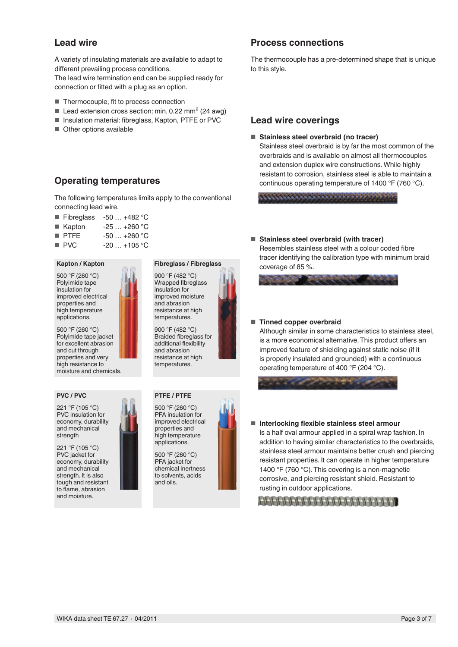# **Lead wire**

A variety of insulating materials are available to adapt to different prevailing process conditions.

The lead wire termination end can be supplied ready for connection or fitted with a plug as an option.

- Thermocouple, fit to process connection
- Lead extension cross section: min.  $0.22$  mm<sup>2</sup> (24 awg)
- Insulation material: fibreglass, Kapton, PTFE or PVC
- Other options available

# **Operating temperatures**

The following temperatures limits apply to the conventional connecting lead wire.

- Fibreglass  $-50$  ...  $+482$  °C
- $\blacksquare$  Kapton  $-25$  ... +260 °C
- PTFE -50 ... +260 °C
- $\blacksquare$  PVC  $\blacksquare$  -20  $\ldots$  +105 °C

#### **Kapton / Kapton**

500 °F (260 °C) Polyimide tape insulation for improved electrical properties and high temperature applications.

500 °F (260 °C) Polyimide tape jacket for excellent abrasion and cut through properties and very high resistance to moisture and chemicals.

#### **PVC / PVC**

221 °F (105 °C) PVC insulation for economy, durability and mechanical strength

221 °F (105 °C) PVC jacket for economy, durability and mechanical strength. It is also tough and resistant to flame, abrasion and moisture.

# **Fibreglass / Fibreglass**

900 °F (482 °C) Wrapped fibreglass insulation for improved moisture and abrasion resistance at high temperatures.

900 °F (482 °C) Braided fibreglass for additional flexibility and abrasion resistance at high temperatures.

# **PTFE / PTFE**



500 °F (260 °C) PFA jacket for chemical inertness to solvents, acids and oils.

# **Process connections**

The thermocouple has a pre-determined shape that is unique to this style.

# **Lead wire coverings**

#### ■ **Stainless steel overbraid (no tracer)**

Stainless steel overbraid is by far the most common of the overbraids and is available on almost all thermocouples and extension duplex wire constructions.While highly resistant to corrosion, stainless steel is able to maintain a continuous operating temperature of 1400 °F (760 °C).

■ **Stainless steel overbraid (with tracer)** Resembles stainless steel with a colour coded fibre

tracer identifying the calibration type with minimum braid coverage of 85 %.

#### ■ **Tinned copper overbraid**

Although similar in some characteristics to stainless steel, is a more economical alternative.This product offers an improved feature of shielding against static noise (if it is properly insulated and grounded) with a continuous operating temperature of 400 °F (204 °C).



■ **Interlocking flexible stainless steel armour** Is a half oval armour applied in a spiral wrap fashion. In addition to having similar characteristics to the overbraids, stainless steel armour maintains better crush and piercing resistant properties. It can operate in higher temperature 1400 °F (760 °C). This covering is a non-magnetic corrosive, and piercing resistant shield. Resistant to rusting in outdoor applications.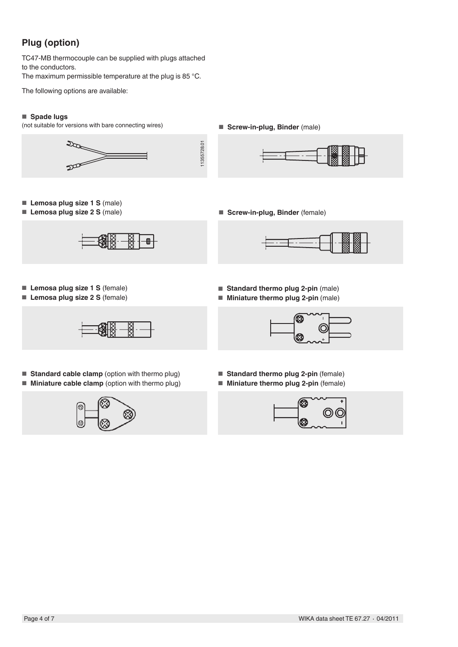# **Plug (option)**

TC47-MB thermocouple can be supplied with plugs attached to the conductors.

The maximum permissible temperature at the plug is 85 °C.

The following options are available:

# ■ **Spade lugs**

(not suitable for versions with bare connecting wires)

■ **Screw-in-plug, Binder** (male)



11355728.01 11355728.01



- **Lemosa plug size 1 S** (male)
- **Lemosa plug size 2 S** (male)



■ **Screw-in-plug, Binder** (female)



- **Lemosa plug size 1 S** (female)
- **Lemosa plug size 2 S** (female)



- **Standard cable clamp** (option with thermo plug)
- **Miniature cable clamp** (option with thermo plug)



- **Standard thermo plug 2-pin** (male)
- **Miniature thermo plug 2-pin** (male)



- **Standard thermo plug 2-pin** (female)
- **Miniature thermo plug 2-pin** (female)

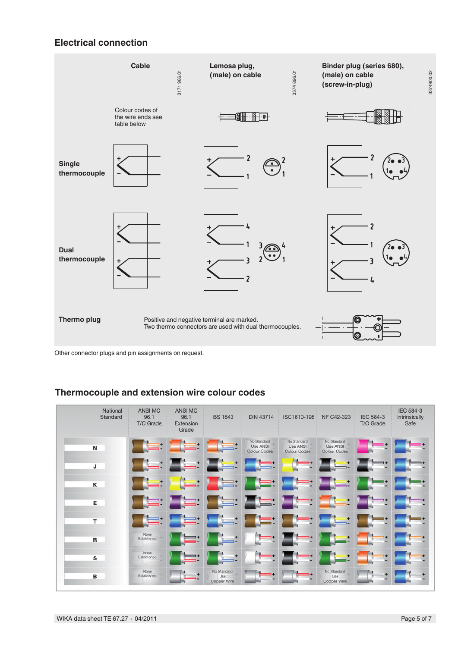# **Electrical connection**



Other connector plugs and pin assignments on request.

# **Thermocouple and extension wire colour codes**

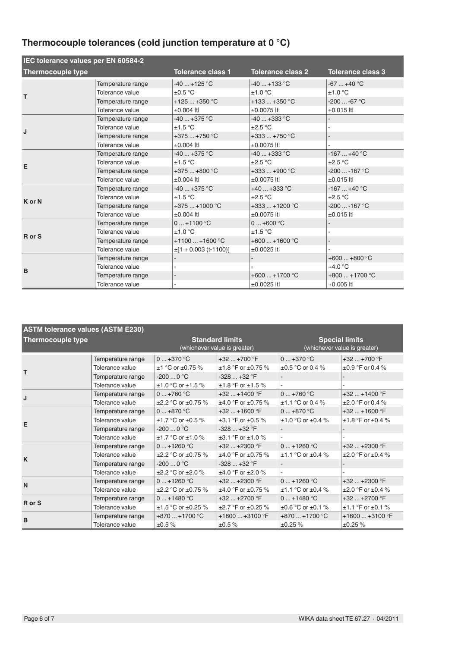# **Thermocouple tolerances (cold junction temperature at 0 °C)**

| IEC tolerance values per EN 60584-2 |                                                                                                 |                                                                             |                                                                                 |                                                                     |
|-------------------------------------|-------------------------------------------------------------------------------------------------|-----------------------------------------------------------------------------|---------------------------------------------------------------------------------|---------------------------------------------------------------------|
| <b>Thermocouple type</b>            |                                                                                                 | <b>Tolerance class 1</b>                                                    | <b>Tolerance class 2</b>                                                        | <b>Tolerance class 3</b>                                            |
| т                                   | Temperature range<br>Tolerance value<br>Temperature range                                       | $-40+125$ °C<br>$\pm 0.5$ °C<br>$+125+350$ °C                               | $-40+133$ °C<br>±1.0 °C<br>$+133+350$ °C                                        | $-67+40 °C$<br>±1.0 °C<br>$-200 -67 °C$                             |
| J                                   | Tolerance value<br>Temperature range<br>Tolerance value<br>Temperature range<br>Tolerance value | $±0.004$ Itl<br>$-40+375$ °C<br>±1.5 °C<br>$+375+750$ °C<br>$\pm 0.004$ Itl | $±0.0075$ Itl<br>-40  +333 °C<br>$\pm 2.5$ °C<br>$+333+750$ °C<br>$±0.0075$ Itl | $\pm 0.015$ Itl<br>$\overline{\phantom{0}}$                         |
| E                                   | Temperature range<br>Tolerance value<br>Temperature range<br>Tolerance value                    | $-40$ $+375$ °C<br>±1.5 °C<br>$+375+800$ °C<br>$±0.004$ Itl                 | -40  +333 °C<br>$\pm 2.5$ °C<br>$+333+900$ °C<br>$±0.0075$ Itl                  | $-167+40 °C$<br>$\pm 2.5$ °C<br>$-200$ $-167$ °C<br>$\pm 0.015$ Itl |
| K or N                              | Temperature range<br>Tolerance value<br>Temperature range<br>Tolerance value                    | $-40+375$ °C<br>±1.5 °C<br>$+375+1000$ °C<br>$±0.004$ Itl                   | $+40+333$ °C<br>$\pm 2.5$ °C<br>+333  +1200 °C<br>$±0.0075$ Itl                 | $-167+40 °C$<br>$\pm 2.5$ °C<br>$-200$ $-167$ °C<br>$\pm 0.015$ Itl |
| R or S                              | Temperature range<br>Tolerance value<br>Temperature range<br>Tolerance value                    | $0+1100 °C$<br>±1.0 °C<br>$+1100+1600$ °C<br>$\pm$ [1 + 0.003 (t-1100)]     | $0+600 °C$<br>±1.5 °C<br>$+600+1600$ °C<br>$±0.0025$ Itl                        | ä,<br>$\overline{a}$                                                |
| B                                   | Temperature range<br>Tolerance value<br>Temperature range<br>Tolerance value                    |                                                                             | $+600+1700$ °C<br>±0.0025 ltl                                                   | $+600+800$ °C<br>$+4.0 °C$<br>$+800+1700$ °C<br>$+0.005$ Itl        |

| <b>ASTM tolerance values (ASTM E230)</b> |                   |                                                        |                              |                                                       |                             |
|------------------------------------------|-------------------|--------------------------------------------------------|------------------------------|-------------------------------------------------------|-----------------------------|
| <b>Thermocouple type</b>                 |                   | <b>Standard limits</b><br>(whichever value is greater) |                              | <b>Special limits</b><br>(whichever value is greater) |                             |
|                                          | Temperature range | $0+370$ °C                                             | $+32$ $+700$ °F              | $0 \dots +370$ °C                                     | $+32+700$ °F                |
| т                                        | Tolerance value   | $±1$ °C or $±0.75$ %                                   | $±1.8$ °F or $±0.75$ %       | $\pm 0.5$ °C or 0.4 %                                 | $\pm 0.9$ °F or 0.4 %       |
|                                          | Temperature range | $-2000$ °C                                             | $-328+32$ °F                 |                                                       |                             |
|                                          | Tolerance value   | $±1.0 °C$ or $±1.5 %$                                  | $±1.8 °F$ or $±1.5 %$        |                                                       |                             |
| J                                        | Temperature range | $0+760$ °C                                             | $+32$ $+1400$ °F             | $0+760$ °C                                            | $+32+1400$ °F               |
|                                          | Tolerance value   | $\pm 2.2$ °C or $\pm 0.75$ %                           | $±4.0$ °F or $±0.75$ %       | $±1.1 °C$ or 0.4 %                                    | $\pm 2.0$ °F or 0.4 %       |
|                                          | Temperature range | $0+870$ °C                                             | $+32$ $+1600$ °F             | $0+870$ °C                                            | $+32+1600$ °F               |
| E                                        | Tolerance value   | $±1.7 °C$ or $±0.5 %$                                  | $\pm 3.1$ °F or $\pm 0.5$ %  | $±1.0 °C$ or $±0.4 %$                                 | $±1.8 °F$ or $±0.4 %$       |
|                                          | Temperature range | $-2000$ °C                                             | $-328+32$ °F                 |                                                       |                             |
|                                          | Tolerance value   | $±1.7 °C$ or $±1.0 %$                                  | $±3.1$ °F or $±1.0$ %        |                                                       |                             |
|                                          | Temperature range | $0+1260$ °C                                            | $+32$ $+2300$ °F             | $0+1260$ °C                                           | $+32$ $+2300$ °F            |
| K                                        | Tolerance value   | $\pm 2.2$ °C or $\pm 0.75$ %                           | $±4.0$ °F or $±0.75$ %       | $±1.1$ °C or $±0.4$ %                                 | $\pm 2.0$ °F or $\pm 0.4$ % |
|                                          | Temperature range | $-2000$ °C                                             | $-328+32$ °F                 |                                                       |                             |
|                                          | Tolerance value   | $\pm 2.2$ °C or $\pm 2.0$ %                            | $±4.0 °F$ or $±2.0 %$        |                                                       |                             |
| $\mathsf{N}$                             | Temperature range | $0+1260 °C$                                            | $+32$ $+2300$ °F             | $0+1260$ °C                                           | $+32+2300$ °F               |
|                                          | Tolerance value   | $\pm 2.2$ °C or $\pm 0.75$ %                           | $±4.0$ °F or $±0.75$ %       | $±1.1$ °C or $±0.4$ %                                 | $\pm 2.0$ °F or $\pm 0.4$ % |
| R or S                                   | Temperature range | $0+1480 °C$                                            | $+32+2700$ °F                | $0+1480 °C$                                           | $+32+2700$ °F               |
|                                          | Tolerance value   | $\pm$ 1.5 °C or $\pm$ 0.25 %                           | $\pm 2.7$ °F or $\pm 0.25$ % | $\pm 0.6$ °C or $\pm 0.1$ %                           | $±1.1$ °F or $±0.1$ %       |
| B                                        | Temperature range | $+870+1700$ °C                                         | $+1600+3100$ °F              | $+870+1700$ °C                                        | $+1600+3100$ °F             |
|                                          | Tolerance value   | ±0.5%                                                  | ±0.5%                        | ±0.25%                                                | ±0.25%                      |